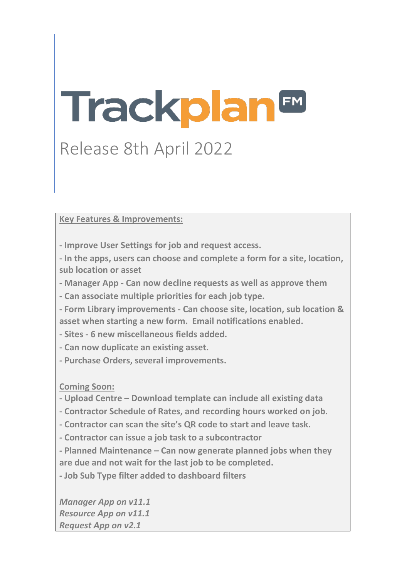# Trackplan<sup>™</sup>

# Release 8th April 2022

**Key Features & Improvements:**

**- Improve User Settings for job and request access.** 

**- In the apps, users can choose and complete a form for a site, location, sub location or asset**

**- Manager App - Can now decline requests as well as approve them**

**- Can associate multiple priorities for each job type.**

**- Form Library improvements - Can choose site, location, sub location & asset when starting a new form. Email notifications enabled.**

**- Sites - 6 new miscellaneous fields added.**

**- Can now duplicate an existing asset.**

**- Purchase Orders, several improvements.**

**Coming Soon:** 

**- Upload Centre – Download template can include all existing data**

**- Contractor Schedule of Rates, and recording hours worked on job.**

**- Contractor can scan the site's QR code to start and leave task.**

**- Contractor can issue a job task to a subcontractor**

**- Planned Maintenance – Can now generate planned jobs when they are due and not wait for the last job to be completed.**

**- Job Sub Type filter added to dashboard filters**

*Manager App on v11.1 Resource App on v11.1 Request App on v2.1*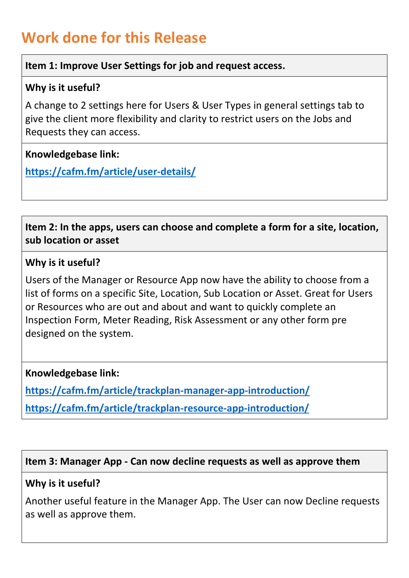# **Work done for this Release**

#### **Item 1: Improve User Settings for job and request access.**

#### **Why is it useful?**

A change to 2 settings here for Users & User Types in general settings tab to give the client more flexibility and clarity to restrict users on the Jobs and Requests they can access.

#### **Knowledgebase link:**

**<https://cafm.fm/article/user-details/>**

**Item 2: In the apps, users can choose and complete a form for a site, location, sub location or asset**

#### **Why is it useful?**

Users of the Manager or Resource App now have the ability to choose from a list of forms on a specific Site, Location, Sub Location or Asset. Great for Users or Resources who are out and about and want to quickly complete an Inspection Form, Meter Reading, Risk Assessment or any other form pre designed on the system.

#### **Knowledgebase link:**

**<https://cafm.fm/article/trackplan-manager-app-introduction/> <https://cafm.fm/article/trackplan-resource-app-introduction/>**

#### **Item 3: Manager App - Can now decline requests as well as approve them**

#### **Why is it useful?**

Another useful feature in the Manager App. The User can now Decline requests as well as approve them.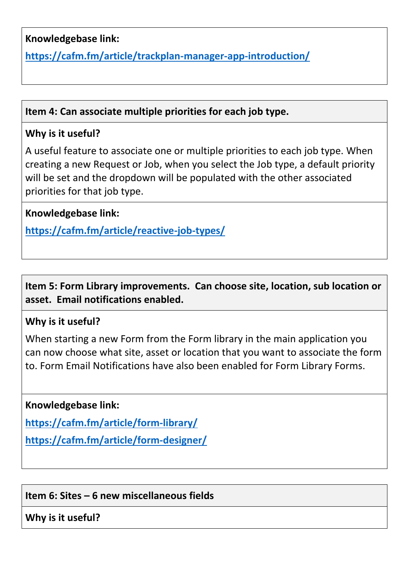## **Knowledgebase link:**

**<https://cafm.fm/article/trackplan-manager-app-introduction/>**

#### **Item 4: Can associate multiple priorities for each job type.**

# **Why is it useful?**

A useful feature to associate one or multiple priorities to each job type. When creating a new Request or Job, when you select the Job type, a default priority will be set and the dropdown will be populated with the other associated priorities for that job type.

**Knowledgebase link:** 

**<https://cafm.fm/article/reactive-job-types/>**

**Item 5: Form Library improvements. Can choose site, location, sub location or asset. Email notifications enabled.**

### **Why is it useful?**

When starting a new Form from the Form library in the main application you can now choose what site, asset or location that you want to associate the form to. Form Email Notifications have also been enabled for Form Library Forms.

**Knowledgebase link:** 

**<https://cafm.fm/article/form-library/>**

**<https://cafm.fm/article/form-designer/>**

**Item 6: Sites – 6 new miscellaneous fields**

**Why is it useful?**